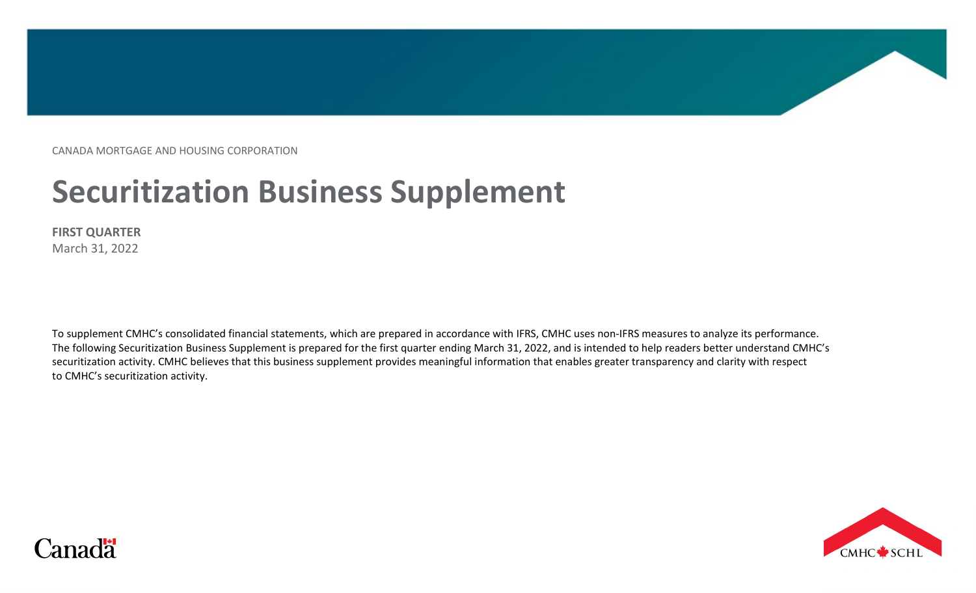CANADA MORTGAGE AND HOUSING CORPORATION

# **Securitization Business Supplement**

**FIRST QUARTER** March 31, 2022

To supplement CMHC's consolidated financial statements, which are prepared in accordance with IFRS, CMHC uses non-IFRS measures to analyze its performance. The following Securitization Business Supplement is prepared for the first quarter ending March 31, 2022, and is intended to help readers better understand CMHC's securitization activity. CMHC believes that this business supplement provides meaningful information that enables greater transparency and clarity with respect to CMHC's securitization activity.



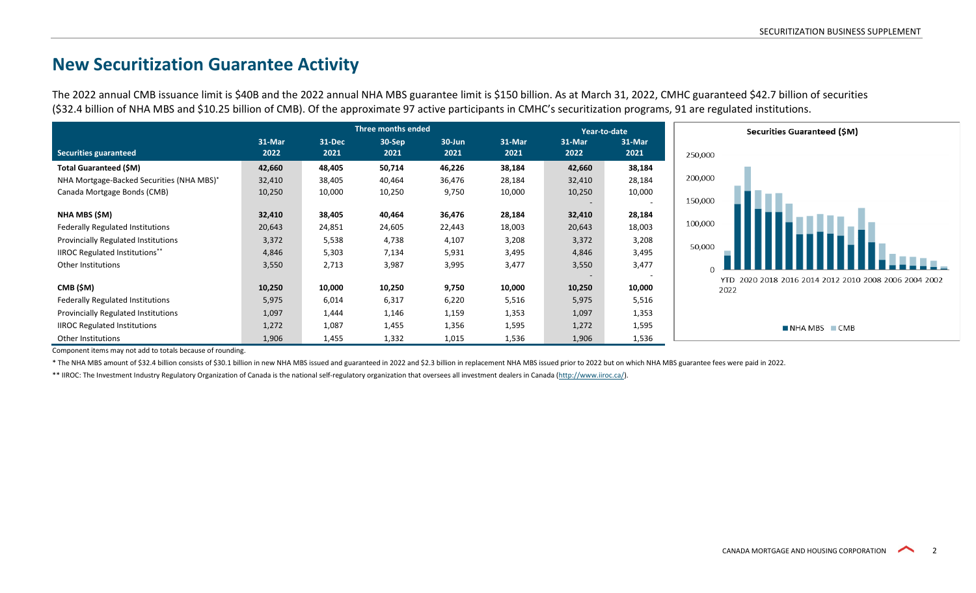## **New Securitization Guarantee Activity**

The 2022 annual CMB issuance limit is \$40B and the 2022 annual NHA MBS guarantee limit is \$150 billion. As at March 31, 2022, CMHC guaranteed \$42.7 billion of securities (\$32.4 billion of NHA MBS and \$10.25 billion of CMB). Of the approximate 97 active participants in CMHC's securitization programs, 91 are regulated institutions.

|                                            |                | <b>Three months ended</b> |                |                |                |                | Year-to-date     | Securities Guaranteed (\$M)                           |
|--------------------------------------------|----------------|---------------------------|----------------|----------------|----------------|----------------|------------------|-------------------------------------------------------|
| Securities guaranteed                      | 31-Mar<br>2022 | 31-Dec<br>2021            | 30-Sep<br>2021 | 30-Jun<br>2021 | 31-Mar<br>2021 | 31-Mar<br>2022 | 31-Mar<br>2021   | 250,000                                               |
| Total Guaranteed (\$M)                     | 42,660         | 48,405                    | 50,714         | 46,226         | 38,184         | 42,660         | 38,184           |                                                       |
| NHA Mortgage-Backed Securities (NHA MBS)*  | 32,410         | 38,405                    | 40,464         | 36,476         | 28,184         | 32,410         | 28,184           | 200,000                                               |
| Canada Mortgage Bonds (CMB)                | 10,250         | 10,000                    | 10,250         | 9,750          | 10,000         | 10,250         | 10,000<br>$\sim$ | 150,000                                               |
| NHA MBS (\$M)                              | 32,410         | 38,405                    | 40,464         | 36,476         | 28,184         | 32,410         | 28,184           |                                                       |
| Federally Regulated Institutions           | 20,643         | 24,851                    | 24,605         | 22,443         | 18,003         | 20,643         | 18,003           | 100,000                                               |
| <b>Provincially Regulated Institutions</b> | 3,372          | 5,538                     | 4,738          | 4,107          | 3,208          | 3,372          | 3,208            |                                                       |
| <b>IIROC Regulated Institutions**</b>      | 4,846          | 5,303                     | 7,134          | 5,931          | 3,495          | 4,846          | 3,495            | 50,000                                                |
| Other Institutions                         | 3,550          | 2,713                     | 3,987          | 3,995          | 3,477          | 3,550          | 3,477            |                                                       |
|                                            |                |                           |                |                |                |                |                  | YTD 2020 2018 2016 2014 2012 2010 2008 2006 2004 2002 |
| CMB (\$M)                                  | 10,250         | 10,000                    | 10,250         | 9,750          | 10,000         | 10,250         | 10,000           | 2022                                                  |
| <b>Federally Regulated Institutions</b>    | 5,975          | 6,014                     | 6,317          | 6,220          | 5,516          | 5,975          | 5,516            |                                                       |
| Provincially Regulated Institutions        | 1,097          | 1,444                     | 1,146          | 1,159          | 1,353          | 1,097          | 1,353            |                                                       |
| <b>IIROC Regulated Institutions</b>        | 1,272          | 1,087                     | 1,455          | 1,356          | 1,595          | 1,272          | 1,595            | $\blacksquare$ NHA MBS $\blacksquare$ CMB             |
| Other Institutions                         | 1,906          | 1,455                     | 1,332          | 1,015          | 1,536          | 1,906          | 1,536            |                                                       |

Component items may not add to totals because of rounding.

\* The NHA MBS amount of \$32.4 billion consists of \$30.1 billion in new NHA MBS issued and guaranteed in 2022 and \$2.3 billion in replacement NHA MBS issued prior to 2022 but on which NHA MBS guarantee fees were paid in 2022.

\*\* IIROC: The Investment Industry Regulatory Organization of Canada is the national self-regulatory organization that oversees all investment dealers in Canada [\(http://www.iiroc.ca/\)](http://www.iiroc.ca/).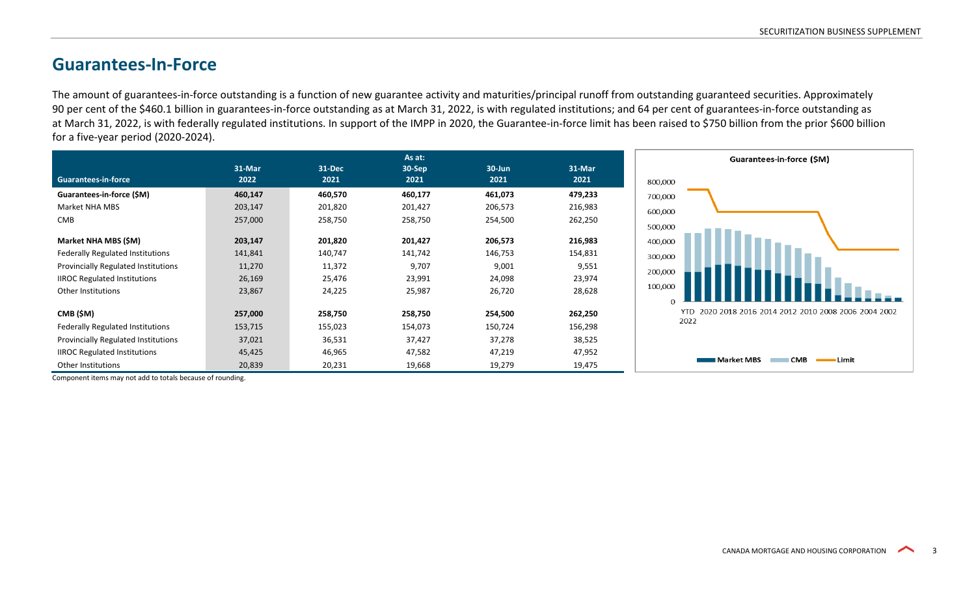#### **Guarantees-In-Force**

The amount of guarantees-in-force outstanding is a function of new guarantee activity and maturities/principal runoff from outstanding guaranteed securities. Approximately 90 per cent of the \$460.1 billion in guarantees-in-force outstanding as at March 31, 2022, is with regulated institutions; and 64 per cent of guarantees-in-force outstanding as at March 31, 2022, is with federally regulated institutions. In support of the IMPP in 2020, the Guarantee-in-force limit has been raised to \$750 billion from the prior \$600 billion for a five-year period (2020-2024).

|                                            |         |         | As at:  |         |         |
|--------------------------------------------|---------|---------|---------|---------|---------|
|                                            | 31-Mar  | 31-Dec  | 30-Sep  | 30-Jun  | 31-Mar  |
| <b>Guarantees-in-force</b>                 | 2022    | 2021    | 2021    | 2021    | 2021    |
| Guarantees-in-force (\$M)                  | 460,147 | 460,570 | 460,177 | 461,073 | 479,233 |
| Market NHA MBS                             | 203,147 | 201,820 | 201,427 | 206,573 | 216,983 |
| <b>CMB</b>                                 | 257,000 | 258,750 | 258,750 | 254,500 | 262,250 |
|                                            |         |         |         |         |         |
| Market NHA MBS (\$M)                       | 203,147 | 201,820 | 201,427 | 206,573 | 216,983 |
| <b>Federally Regulated Institutions</b>    | 141,841 | 140,747 | 141,742 | 146,753 | 154,831 |
| <b>Provincially Regulated Institutions</b> | 11,270  | 11,372  | 9,707   | 9,001   | 9,551   |
| <b>IIROC Regulated Institutions</b>        | 26,169  | 25,476  | 23,991  | 24,098  | 23,974  |
| <b>Other Institutions</b>                  | 23,867  | 24,225  | 25,987  | 26,720  | 28,628  |
|                                            |         |         |         |         |         |
| CMB (\$M)                                  | 257,000 | 258,750 | 258,750 | 254,500 | 262,250 |
| <b>Federally Regulated Institutions</b>    | 153,715 | 155,023 | 154,073 | 150,724 | 156,298 |
| <b>Provincially Regulated Institutions</b> | 37,021  | 36,531  | 37,427  | 37,278  | 38,525  |
| <b>IIROC Regulated Institutions</b>        | 45,425  | 46,965  | 47,582  | 47,219  | 47,952  |
| <b>Other Institutions</b>                  | 20,839  | 20,231  | 19,668  | 19,279  | 19,475  |



Component items may not add to totals because of rounding.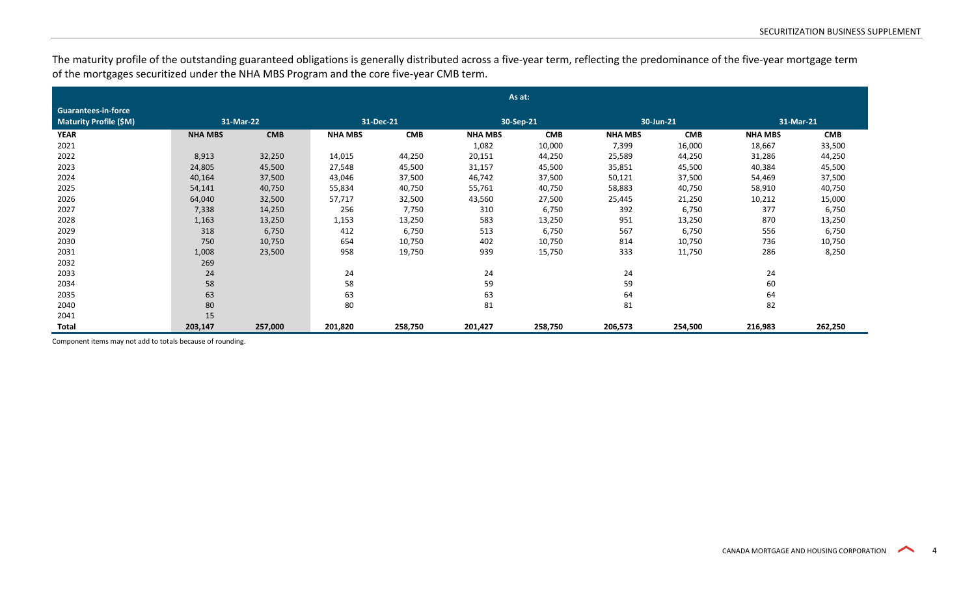The maturity profile of the outstanding guaranteed obligations is generally distributed across a five-year term, reflecting the predominance of the five-year mortgage term of the mortgages securitized under the NHA MBS Program and the core five-year CMB term.

|                                                             | As at:         |            |                |            |                |            |                |            |                |            |
|-------------------------------------------------------------|----------------|------------|----------------|------------|----------------|------------|----------------|------------|----------------|------------|
| <b>Guarantees-in-force</b><br><b>Maturity Profile (\$M)</b> | 31-Mar-22      |            | 31-Dec-21      |            | 30-Sep-21      |            | 30-Jun-21      |            | 31-Mar-21      |            |
| <b>YEAR</b>                                                 | <b>NHA MBS</b> | <b>CMB</b> | <b>NHA MBS</b> | <b>CMB</b> | <b>NHA MBS</b> | <b>CMB</b> | <b>NHA MBS</b> | <b>CMB</b> | <b>NHA MBS</b> | <b>CMB</b> |
| 2021                                                        |                |            |                |            | 1,082          | 10,000     | 7,399          | 16,000     | 18,667         | 33,500     |
| 2022                                                        | 8,913          | 32,250     | 14,015         | 44,250     | 20,151         | 44,250     | 25,589         | 44,250     | 31,286         | 44,250     |
| 2023                                                        | 24,805         | 45,500     | 27,548         | 45,500     | 31,157         | 45,500     | 35,851         | 45,500     | 40,384         | 45,500     |
| 2024                                                        | 40,164         | 37,500     | 43,046         | 37,500     | 46,742         | 37,500     | 50,121         | 37,500     | 54,469         | 37,500     |
| 2025                                                        | 54,141         | 40,750     | 55,834         | 40,750     | 55,761         | 40,750     | 58,883         | 40,750     | 58,910         | 40,750     |
| 2026                                                        | 64,040         | 32,500     | 57,717         | 32,500     | 43,560         | 27,500     | 25,445         | 21,250     | 10,212         | 15,000     |
| 2027                                                        | 7,338          | 14,250     | 256            | 7,750      | 310            | 6,750      | 392            | 6,750      | 377            | 6,750      |
| 2028                                                        | 1,163          | 13,250     | 1,153          | 13,250     | 583            | 13,250     | 951            | 13,250     | 870            | 13,250     |
| 2029                                                        | 318            | 6,750      | 412            | 6,750      | 513            | 6,750      | 567            | 6,750      | 556            | 6,750      |
| 2030                                                        | 750            | 10,750     | 654            | 10,750     | 402            | 10,750     | 814            | 10,750     | 736            | 10,750     |
| 2031                                                        | 1,008          | 23,500     | 958            | 19,750     | 939            | 15,750     | 333            | 11,750     | 286            | 8,250      |
| 2032                                                        | 269            |            |                |            |                |            |                |            |                |            |
| 2033                                                        | 24             |            | 24             |            | 24             |            | 24             |            | 24             |            |
| 2034                                                        | 58             |            | 58             |            | 59             |            | 59             |            | 60             |            |
| 2035                                                        | 63             |            | 63             |            | 63             |            | 64             |            | 64             |            |
| 2040                                                        | 80             |            | 80             |            | 81             |            | 81             |            | 82             |            |
| 2041                                                        | 15             |            |                |            |                |            |                |            |                |            |
| Total                                                       | 203,147        | 257,000    | 201,820        | 258,750    | 201,427        | 258,750    | 206,573        | 254,500    | 216,983        | 262,250    |

Component items may not add to totals because of rounding.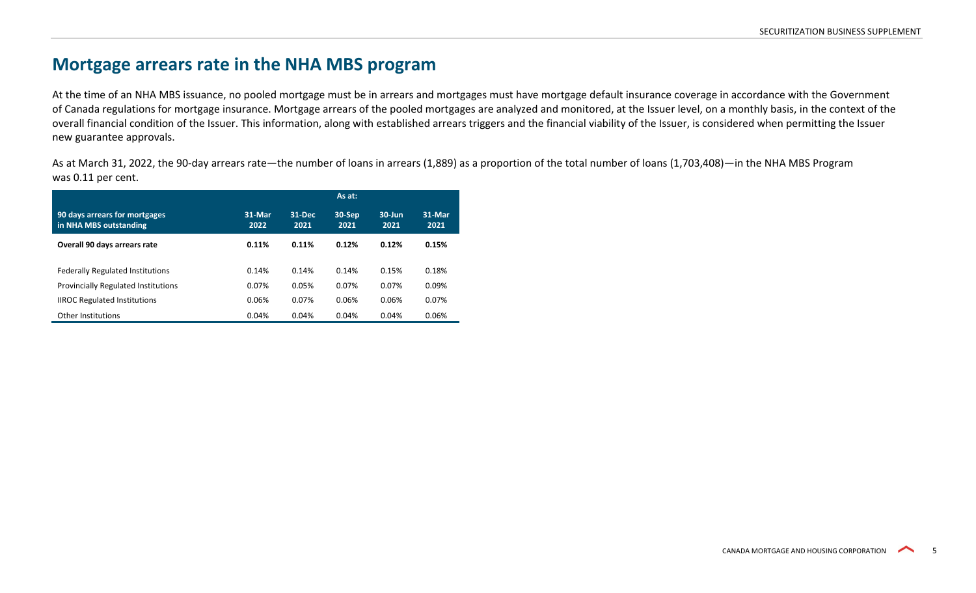#### **Mortgage arrears rate in the NHA MBS program**

At the time of an NHA MBS issuance, no pooled mortgage must be in arrears and mortgages must have mortgage default insurance coverage in accordance with the Government of Canada regulations for mortgage insurance. Mortgage arrears of the pooled mortgages are analyzed and monitored, at the Issuer level, on a monthly basis, in the context of the overall financial condition of the Issuer. This information, along with established arrears triggers and the financial viability of the Issuer, is considered when permitting the Issuer new guarantee approvals.

As at March 31, 2022, the 90-day arrears rate—the number of loans in arrears (1,889) as a proportion of the total number of loans (1,703,408)—in the NHA MBS Program was 0.11 per cent.

|                                                         |                |                | As at:         |                    |                |
|---------------------------------------------------------|----------------|----------------|----------------|--------------------|----------------|
| 90 days arrears for mortgages<br>in NHA MBS outstanding | 31-Mar<br>2022 | 31-Dec<br>2021 | 30-Sep<br>2021 | $30 - Jun$<br>2021 | 31-Mar<br>2021 |
| Overall 90 days arrears rate                            | 0.11%          | 0.11%          | 0.12%          | 0.12%              | 0.15%          |
| <b>Federally Regulated Institutions</b>                 | 0.14%          | 0.14%          | 0.14%          | 0.15%              | 0.18%          |
| <b>Provincially Regulated Institutions</b>              | 0.07%          | 0.05%          | 0.07%          | 0.07%              | 0.09%          |
| <b>IIROC Regulated Institutions</b>                     | 0.06%          | 0.07%          | 0.06%          | 0.06%              | 0.07%          |
| <b>Other Institutions</b>                               | 0.04%          | 0.04%          | 0.04%          | 0.04%              | 0.06%          |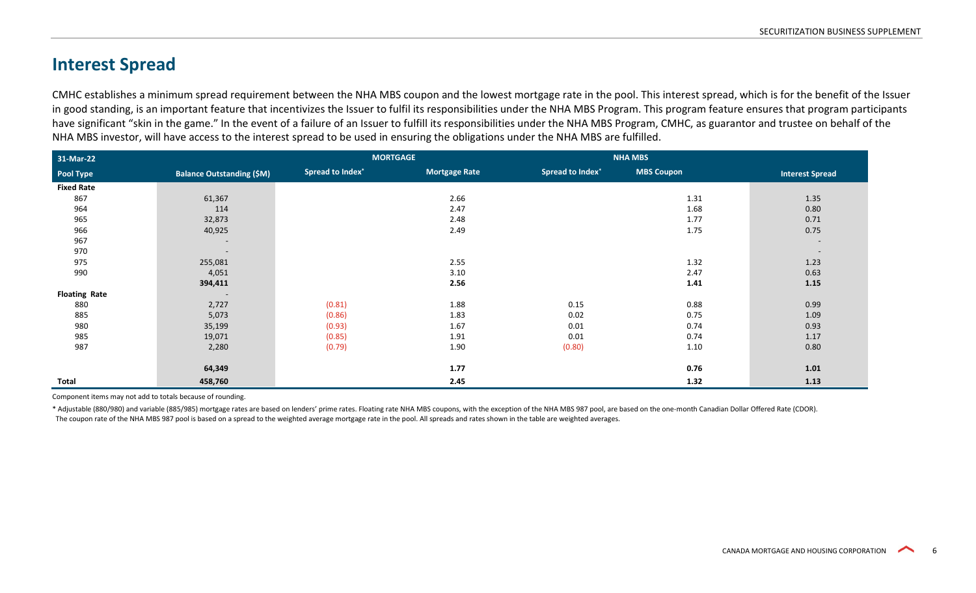### **Interest Spread**

CMHC establishes a minimum spread requirement between the NHA MBS coupon and the lowest mortgage rate in the pool. This interest spread, which is for the benefit of the Issuer in good standing, is an important feature that incentivizes the Issuer to fulfil its responsibilities under the NHA MBS Program. This program feature ensures that program participants have significant "skin in the game." In the event of a failure of an Issuer to fulfill its responsibilities under the NHA MBS Program, CMHC, as guarantor and trustee on behalf of the NHA MBS investor, will have access to the interest spread to be used in ensuring the obligations under the NHA MBS are fulfilled.

| 31-Mar-22            |                                  | <b>MORTGAGE</b>         |                      |                         | <b>NHA MBS</b>    |                          |  |
|----------------------|----------------------------------|-------------------------|----------------------|-------------------------|-------------------|--------------------------|--|
| Pool Type            | <b>Balance Outstanding (\$M)</b> | <b>Spread to Index*</b> | <b>Mortgage Rate</b> | <b>Spread to Index*</b> | <b>MBS Coupon</b> | <b>Interest Spread</b>   |  |
| <b>Fixed Rate</b>    |                                  |                         |                      |                         |                   |                          |  |
| 867                  | 61,367                           |                         | 2.66                 |                         | 1.31              | 1.35                     |  |
| 964                  | 114                              |                         | 2.47                 |                         | 1.68              | 0.80                     |  |
| 965                  | 32,873                           |                         | 2.48                 |                         | 1.77              | 0.71                     |  |
| 966                  | 40,925                           |                         | 2.49                 |                         | 1.75              | 0.75                     |  |
| 967                  | $\overline{\phantom{a}}$         |                         |                      |                         |                   | $\overline{\phantom{a}}$ |  |
| 970                  | $\overline{\phantom{a}}$         |                         |                      |                         |                   | $\overline{\phantom{a}}$ |  |
| 975                  | 255,081                          |                         | 2.55                 |                         | 1.32              | 1.23                     |  |
| 990                  | 4,051                            |                         | 3.10                 |                         | 2.47              | 0.63                     |  |
|                      | 394,411                          |                         | 2.56                 |                         | 1.41              | 1.15                     |  |
| <b>Floating Rate</b> | $\overline{\phantom{a}}$         |                         |                      |                         |                   |                          |  |
| 880                  | 2,727                            | (0.81)                  | 1.88                 | 0.15                    | 0.88              | 0.99                     |  |
| 885                  | 5,073                            | (0.86)                  | 1.83                 | 0.02                    | 0.75              | 1.09                     |  |
| 980                  | 35,199                           | (0.93)                  | 1.67                 | 0.01                    | 0.74              | 0.93                     |  |
| 985                  | 19,071                           | (0.85)                  | 1.91                 | 0.01                    | 0.74              | 1.17                     |  |
| 987                  | 2,280                            | (0.79)                  | 1.90                 | (0.80)                  | 1.10              | 0.80                     |  |
|                      |                                  |                         |                      |                         |                   |                          |  |
|                      | 64,349                           |                         | 1.77                 |                         | 0.76              | $1.01$                   |  |
| Total                | 458,760                          |                         | 2.45                 |                         | 1.32              | 1.13                     |  |

Component items may not add to totals because of rounding.

\* Adjustable (880/980) and variable (885/985) mortgage rates are based on lenders' prime rates. Floating rate NHA MBS coupons, with the exception of the NHA MBS 987 pool, are based on the one-month Canadian Dollar Offered The coupon rate of the NHA MBS 987 pool is based on a spread to the weighted average mortgage rate in the pool. All spreads and rates shown in the table are weighted averages.